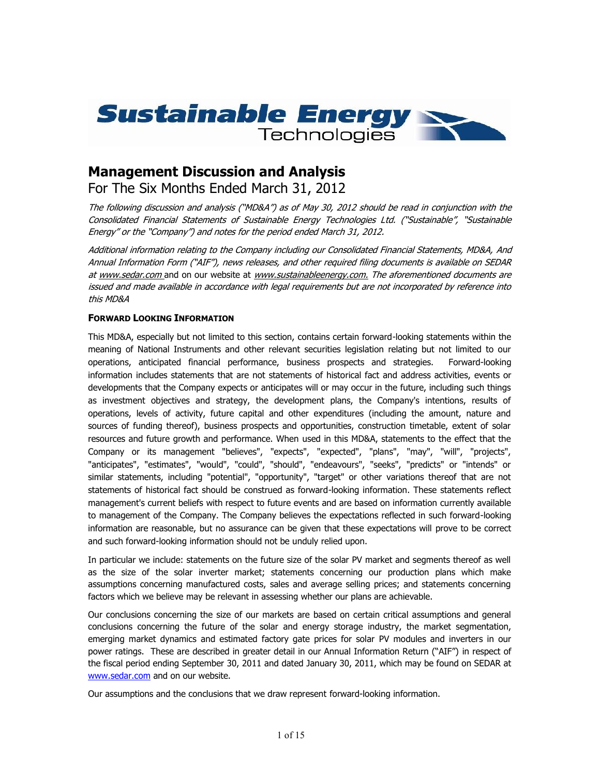

# **Management Discussion and Analysis**

For The Six Months Ended March 31, 2012

*The following discussion and analysis ("MD&A") as of May 30, 2012 should be read in conjunction with the Consolidated Financial Statements of Sustainable Energy Technologies Ltd. ("Sustainable", "Sustainable Energy" or the "Company") and notes for the period ended March 31, 2012.*

*Additional information relating to the Company including our Consolidated Financial Statements, MD&A, And Annual Information Form ("AIF"), news releases, and other required filing documents is available on SEDAR at www.sedar.com* and on our website at *www.sustainableenergy.com. The aforementioned documents are issued and made available in accordance with legal requirements but are not incorporated by reference into this MD&A*

# **FORWARD LOOKING INFORMATION**

This MD&A, especially but not limited to this section, contains certain forward-looking statements within the meaning of National Instruments and other relevant securities legislation relating but not limited to our operations, anticipated financial performance, business prospects and strategies. Forward-looking information includes statements that are not statements of historical fact and address activities, events or developments that the Company expects or anticipates will or may occur in the future, including such things as investment objectives and strategy, the development plans, the Company's intentions, results of operations, levels of activity, future capital and other expenditures (including the amount, nature and sources of funding thereof), business prospects and opportunities, construction timetable, extent of solar resources and future growth and performance. When used in this MD&A, statements to the effect that the Company or its management "believes", "expects", "expected", "plans", "may", "will", "projects", "anticipates", "estimates", "would", "could", "should", "endeavours", "seeks", "predicts" or "intends" or similar statements, including "potential", "opportunity", "target" or other variations thereof that are not statements of historical fact should be construed as forward-looking information. These statements reflect management's current beliefs with respect to future events and are based on information currently available to management of the Company. The Company believes the expectations reflected in such forward-looking information are reasonable, but no assurance can be given that these expectations will prove to be correct and such forward-looking information should not be unduly relied upon.

In particular we include: statements on the future size of the solar PV market and segments thereof as well as the size of the solar inverter market; statements concerning our production plans which make assumptions concerning manufactured costs, sales and average selling prices; and statements concerning factors which we believe may be relevant in assessing whether our plans are achievable.

Our conclusions concerning the size of our markets are based on certain critical assumptions and general conclusions concerning the future of the solar and energy storage industry, the market segmentation, emerging market dynamics and estimated factory gate prices for solar PV modules and inverters in our power ratings. These are described in greater detail in our Annual Information Return ("AIF") in respect of the fiscal period ending September 30, 2011 and dated January 30, 2011, which may be found on SEDAR at www.sedar.com and on our website.

Our assumptions and the conclusions that we draw represent forward-looking information.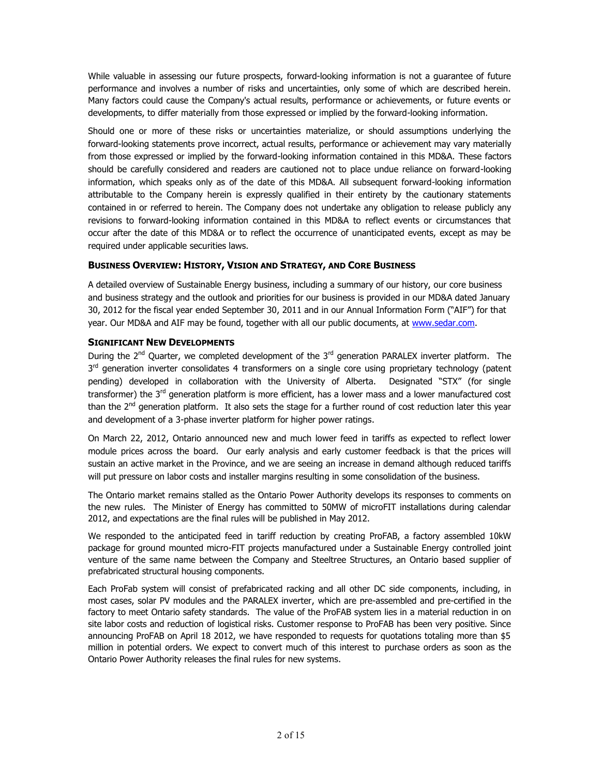While valuable in assessing our future prospects, forward-looking information is not a guarantee of future performance and involves a number of risks and uncertainties, only some of which are described herein. Many factors could cause the Company's actual results, performance or achievements, or future events or developments, to differ materially from those expressed or implied by the forward-looking information.

Should one or more of these risks or uncertainties materialize, or should assumptions underlying the forward-looking statements prove incorrect, actual results, performance or achievement may vary materially from those expressed or implied by the forward-looking information contained in this MD&A. These factors should be carefully considered and readers are cautioned not to place undue reliance on forward-looking information, which speaks only as of the date of this MD&A. All subsequent forward-looking information attributable to the Company herein is expressly qualified in their entirety by the cautionary statements contained in or referred to herein. The Company does not undertake any obligation to release publicly any revisions to forward-looking information contained in this MD&A to reflect events or circumstances that occur after the date of this MD&A or to reflect the occurrence of unanticipated events, except as may be required under applicable securities laws.

# **BUSINESS OVERVIEW: HISTORY, VISION AND STRATEGY, AND CORE BUSINESS**

A detailed overview of Sustainable Energy business, including a summary of our history, our core business and business strategy and the outlook and priorities for our business is provided in our MD&A dated January 30, 2012 for the fiscal year ended September 30, 2011 and in our Annual Information Form ("AIF") for that year. Our MD&A and AIF may be found, together with all our public documents, at www.sedar.com.

# **SIGNIFICANT NEW DEVELOPMENTS**

During the 2<sup>nd</sup> Quarter, we completed development of the 3<sup>rd</sup> generation PARALEX inverter platform. The 3<sup>rd</sup> generation inverter consolidates 4 transformers on a single core using proprietary technology (patent pending) developed in collaboration with the University of Alberta. Designated "STX" (for single transformer) the 3<sup>rd</sup> generation platform is more efficient, has a lower mass and a lower manufactured cost than the 2<sup>nd</sup> generation platform. It also sets the stage for a further round of cost reduction later this year and development of a 3-phase inverter platform for higher power ratings.

On March 22, 2012, Ontario announced new and much lower feed in tariffs as expected to reflect lower module prices across the board. Our early analysis and early customer feedback is that the prices will sustain an active market in the Province, and we are seeing an increase in demand although reduced tariffs will put pressure on labor costs and installer margins resulting in some consolidation of the business.

The Ontario market remains stalled as the Ontario Power Authority develops its responses to comments on the new rules. The Minister of Energy has committed to 50MW of microFIT installations during calendar 2012, and expectations are the final rules will be published in May 2012.

We responded to the anticipated feed in tariff reduction by creating ProFAB, a factory assembled 10kW package for ground mounted micro-FIT projects manufactured under a Sustainable Energy controlled joint venture of the same name between the Company and Steeltree Structures, an Ontario based supplier of prefabricated structural housing components.

Each ProFab system will consist of prefabricated racking and all other DC side components, including, in most cases, solar PV modules and the PARALEX inverter, which are pre-assembled and pre-certified in the factory to meet Ontario safety standards. The value of the ProFAB system lies in a material reduction in on site labor costs and reduction of logistical risks. Customer response to ProFAB has been very positive. Since announcing ProFAB on April 18 2012, we have responded to requests for quotations totaling more than \$5 million in potential orders. We expect to convert much of this interest to purchase orders as soon as the Ontario Power Authority releases the final rules for new systems.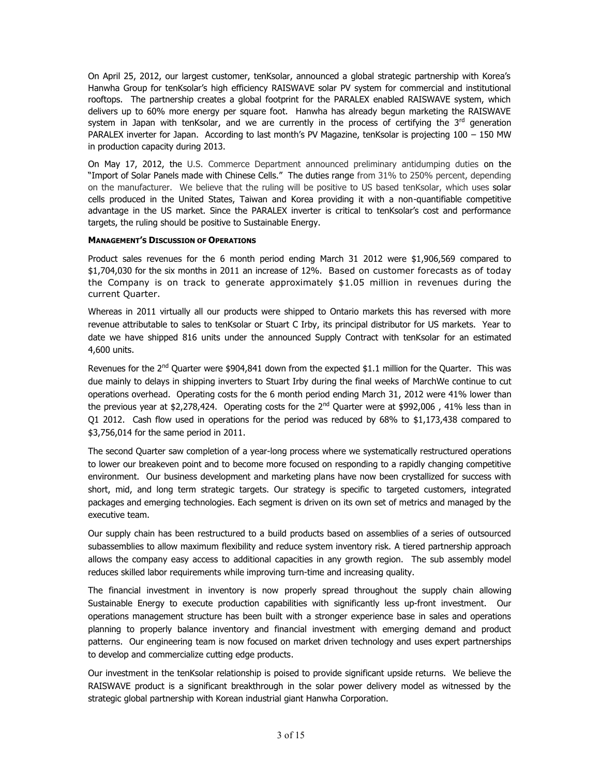On April 25, 2012, our largest customer, tenKsolar, announced a global strategic partnership with Korea's Hanwha Group for tenKsolar's high efficiency RAISWAVE solar PV system for commercial and institutional rooftops. The partnership creates a global footprint for the PARALEX enabled RAISWAVE system, which delivers up to 60% more energy per square foot. Hanwha has already begun marketing the RAISWAVE system in Japan with tenKsolar, and we are currently in the process of certifying the  $3<sup>rd</sup>$  generation PARALEX inverter for Japan. According to last month's PV Magazine, tenKsolar is projecting 100 - 150 MW in production capacity during 2013.

On May 17, 2012, the U.S. Commerce Department announced preliminary antidumping duties on the "Import of Solar Panels made with Chinese Cells." The duties range from 31% to 250% percent, depending on the manufacturer. We believe that the ruling will be positive to US based tenKsolar, which uses solar cells produced in the United States, Taiwan and Korea providing it with a non-quantifiable competitive advantage in the US market. Since the PARALEX inverter is critical to tenKsolar's cost and performance targets, the ruling should be positive to Sustainable Energy.

## **MANAGEMENT'S DISCUSSION OF OPERATIONS**

Product sales revenues for the 6 month period ending March 31 2012 were \$1,906,569 compared to \$1,704,030 for the six months in 2011 an increase of 12%. Based on customer forecasts as of today the Company is on track to generate approximately \$1.05 million in revenues during the current Quarter.

Whereas in 2011 virtually all our products were shipped to Ontario markets this has reversed with more revenue attributable to sales to tenKsolar or Stuart C Irby, its principal distributor for US markets. Year to date we have shipped 816 units under the announced Supply Contract with tenKsolar for an estimated 4,600 units.

Revenues for the 2<sup>nd</sup> Quarter were \$904,841 down from the expected \$1.1 million for the Quarter. This was due mainly to delays in shipping inverters to Stuart Irby during the final weeks of MarchWe continue to cut operations overhead. Operating costs for the 6 month period ending March 31, 2012 were 41% lower than the previous year at \$2,278,424. Operating costs for the  $2<sup>nd</sup>$  Quarter were at \$992,006, 41% less than in Q1 2012. Cash flow used in operations for the period was reduced by 68% to \$1,173,438 compared to \$3,756,014 for the same period in 2011.

The second Quarter saw completion of a year-long process where we systematically restructured operations to lower our breakeven point and to become more focused on responding to a rapidly changing competitive environment. Our business development and marketing plans have now been crystallized for success with short, mid, and long term strategic targets. Our strategy is specific to targeted customers, integrated packages and emerging technologies. Each segment is driven on its own set of metrics and managed by the executive team.

Our supply chain has been restructured to a build products based on assemblies of a series of outsourced subassemblies to allow maximum flexibility and reduce system inventory risk. A tiered partnership approach allows the company easy access to additional capacities in any growth region. The sub assembly model reduces skilled labor requirements while improving turn-time and increasing quality.

The financial investment in inventory is now properly spread throughout the supply chain allowing Sustainable Energy to execute production capabilities with significantly less up-front investment. Our operations management structure has been built with a stronger experience base in sales and operations planning to properly balance inventory and financial investment with emerging demand and product patterns. Our engineering team is now focused on market driven technology and uses expert partnerships to develop and commercialize cutting edge products.

Our investment in the tenKsolar relationship is poised to provide significant upside returns. We believe the RAISWAVE product is a significant breakthrough in the solar power delivery model as witnessed by the strategic global partnership with Korean industrial giant Hanwha Corporation.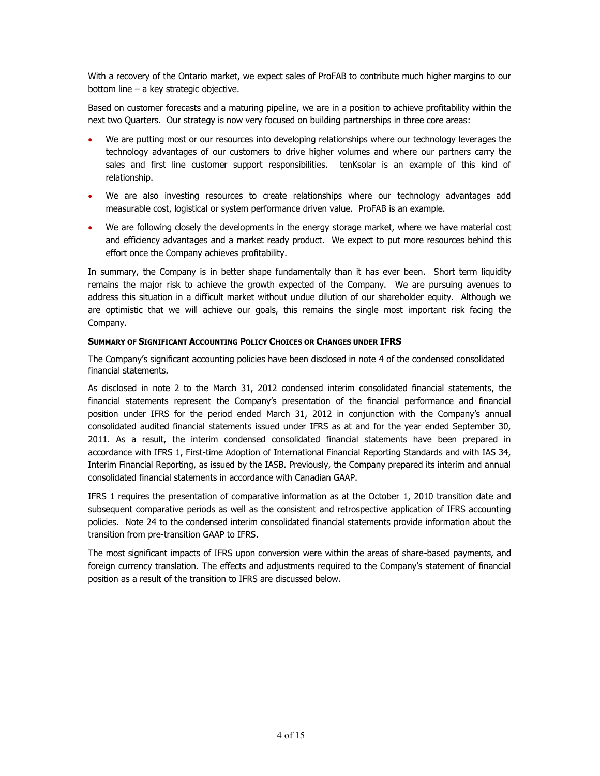With a recovery of the Ontario market, we expect sales of ProFAB to contribute much higher margins to our bottom line – a key strategic objective.

Based on customer forecasts and a maturing pipeline, we are in a position to achieve profitability within the next two Quarters. Our strategy is now very focused on building partnerships in three core areas:

- We are putting most or our resources into developing relationships where our technology leverages the technology advantages of our customers to drive higher volumes and where our partners carry the sales and first line customer support responsibilities. tenKsolar is an example of this kind of relationship.
- We are also investing resources to create relationships where our technology advantages add measurable cost, logistical or system performance driven value. ProFAB is an example.
- We are following closely the developments in the energy storage market, where we have material cost and efficiency advantages and a market ready product. We expect to put more resources behind this effort once the Company achieves profitability.

In summary, the Company is in better shape fundamentally than it has ever been. Short term liquidity remains the major risk to achieve the growth expected of the Company. We are pursuing avenues to address this situation in a difficult market without undue dilution of our shareholder equity. Although we are optimistic that we will achieve our goals, this remains the single most important risk facing the Company.

## **SUMMARY OF SIGNIFICANT ACCOUNTING POLICY CHOICES OR CHANGES UNDER IFRS**

The Company's significant accounting policies have been disclosed in note 4 of the condensed consolidated financial statements.

As disclosed in note 2 to the March 31, 2012 condensed interim consolidated financial statements, the financial statements represent the Company's presentation of the financial performance and financial position under IFRS for the period ended March 31, 2012 in conjunction with the Company's annual consolidated audited financial statements issued under IFRS as at and for the year ended September 30, 2011. As a result, the interim condensed consolidated financial statements have been prepared in accordance with IFRS 1, First-time Adoption of International Financial Reporting Standards and with IAS 34, Interim Financial Reporting, as issued by the IASB. Previously, the Company prepared its interim and annual consolidated financial statements in accordance with Canadian GAAP.

IFRS 1 requires the presentation of comparative information as at the October 1, 2010 transition date and subsequent comparative periods as well as the consistent and retrospective application of IFRS accounting policies. Note 24 to the condensed interim consolidated financial statements provide information about the transition from pre-transition GAAP to IFRS.

The most significant impacts of IFRS upon conversion were within the areas of share-based payments, and foreign currency translation. The effects and adjustments required to the Company's statement of financial position as a result of the transition to IFRS are discussed below.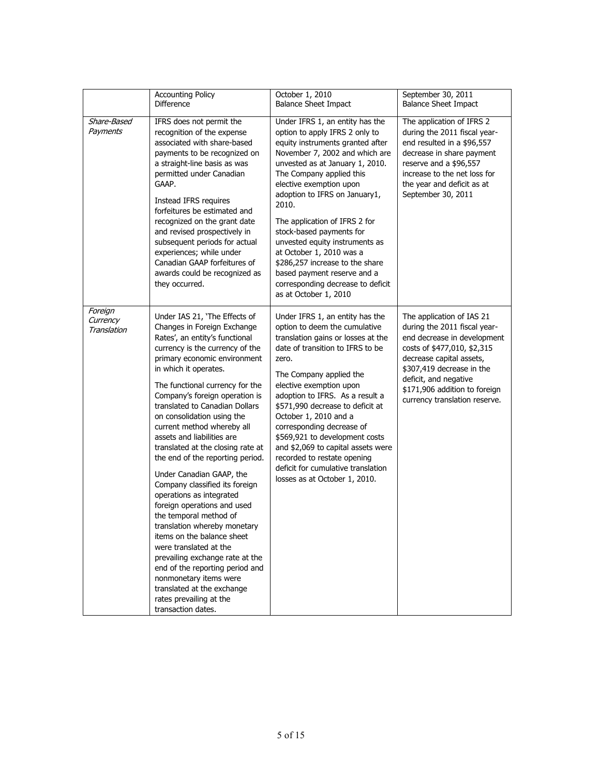|                                    | <b>Accounting Policy</b><br><b>Difference</b>                                                                                                                                                                                                                                                                                                                                                                                                                                                                                                                                                                                                                                                                                                                                                                                                                                                  | October 1, 2010<br><b>Balance Sheet Impact</b>                                                                                                                                                                                                                                                                                                                                                                                                                                                                                         | September 30, 2011<br><b>Balance Sheet Impact</b>                                                                                                                                                                                                                           |
|------------------------------------|------------------------------------------------------------------------------------------------------------------------------------------------------------------------------------------------------------------------------------------------------------------------------------------------------------------------------------------------------------------------------------------------------------------------------------------------------------------------------------------------------------------------------------------------------------------------------------------------------------------------------------------------------------------------------------------------------------------------------------------------------------------------------------------------------------------------------------------------------------------------------------------------|----------------------------------------------------------------------------------------------------------------------------------------------------------------------------------------------------------------------------------------------------------------------------------------------------------------------------------------------------------------------------------------------------------------------------------------------------------------------------------------------------------------------------------------|-----------------------------------------------------------------------------------------------------------------------------------------------------------------------------------------------------------------------------------------------------------------------------|
| Share-Based<br>Payments            | IFRS does not permit the<br>recognition of the expense<br>associated with share-based<br>payments to be recognized on<br>a straight-line basis as was<br>permitted under Canadian<br>GAAP.<br>Instead IFRS requires<br>forfeitures be estimated and<br>recognized on the grant date<br>and revised prospectively in<br>subsequent periods for actual<br>experiences; while under<br>Canadian GAAP forfeitures of<br>awards could be recognized as<br>they occurred.                                                                                                                                                                                                                                                                                                                                                                                                                            | Under IFRS 1, an entity has the<br>option to apply IFRS 2 only to<br>equity instruments granted after<br>November 7, 2002 and which are<br>unvested as at January 1, 2010.<br>The Company applied this<br>elective exemption upon<br>adoption to IFRS on January1,<br>2010.<br>The application of IFRS 2 for<br>stock-based payments for<br>unvested equity instruments as<br>at October 1, 2010 was a<br>\$286,257 increase to the share<br>based payment reserve and a<br>corresponding decrease to deficit<br>as at October 1, 2010 | The application of IFRS 2<br>during the 2011 fiscal year-<br>end resulted in a \$96,557<br>decrease in share payment<br>reserve and a \$96,557<br>increase to the net loss for<br>the year and deficit as at<br>September 30, 2011                                          |
| Foreign<br>Currency<br>Translation | Under IAS 21, 'The Effects of<br>Changes in Foreign Exchange<br>Rates', an entity's functional<br>currency is the currency of the<br>primary economic environment<br>in which it operates.<br>The functional currency for the<br>Company's foreign operation is<br>translated to Canadian Dollars<br>on consolidation using the<br>current method whereby all<br>assets and liabilities are<br>translated at the closing rate at<br>the end of the reporting period.<br>Under Canadian GAAP, the<br>Company classified its foreign<br>operations as integrated<br>foreign operations and used<br>the temporal method of<br>translation whereby monetary<br>items on the balance sheet<br>were translated at the<br>prevailing exchange rate at the<br>end of the reporting period and<br>nonmonetary items were<br>translated at the exchange<br>rates prevailing at the<br>transaction dates. | Under IFRS 1, an entity has the<br>option to deem the cumulative<br>translation gains or losses at the<br>date of transition to IFRS to be<br>zero.<br>The Company applied the<br>elective exemption upon<br>adoption to IFRS. As a result a<br>\$571,990 decrease to deficit at<br>October 1, 2010 and a<br>corresponding decrease of<br>\$569,921 to development costs<br>and \$2,069 to capital assets were<br>recorded to restate opening<br>deficit for cumulative translation<br>losses as at October 1, 2010.                   | The application of IAS 21<br>during the 2011 fiscal year-<br>end decrease in development<br>costs of \$477,010, \$2,315<br>decrease capital assets,<br>\$307,419 decrease in the<br>deficit, and negative<br>\$171,906 addition to foreign<br>currency translation reserve. |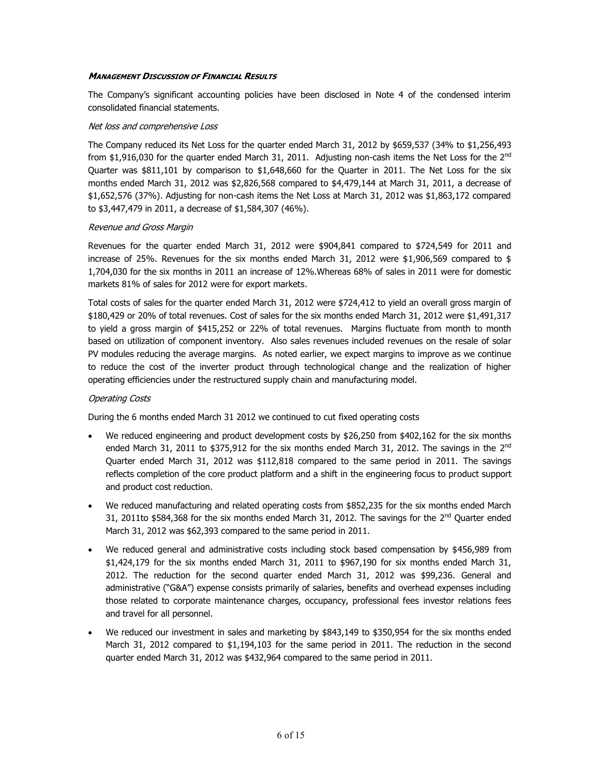## *MANAGEMENT DISCUSSION OF FINANCIAL RESULTS*

The Company's significant accounting policies have been disclosed in Note 4 of the condensed interim consolidated financial statements.

#### *Net loss and comprehensive Loss*

The Company reduced its Net Loss for the quarter ended March 31, 2012 by \$659,537 (34% to \$1,256,493 from \$1,916,030 for the quarter ended March 31, 2011. Adjusting non-cash items the Net Loss for the 2<sup>nd</sup> Quarter was \$811,101 by comparison to \$1,648,660 for the Quarter in 2011. The Net Loss for the six months ended March 31, 2012 was \$2,826,568 compared to \$4,479,144 at March 31, 2011, a decrease of \$1,652,576 (37%). Adjusting for non-cash items the Net Loss at March 31, 2012 was \$1,863,172 compared to \$3,447,479 in 2011, a decrease of \$1,584,307 (46%).

## *Revenue and Gross Margin*

Revenues for the quarter ended March 31, 2012 were \$904,841 compared to \$724,549 for 2011 and increase of 25%. Revenues for the six months ended March 31, 2012 were \$1,906,569 compared to \$ 1,704,030 for the six months in 2011 an increase of 12%.Whereas 68% of sales in 2011 were for domestic markets 81% of sales for 2012 were for export markets.

Total costs of sales for the quarter ended March 31, 2012 were \$724,412 to yield an overall gross margin of \$180,429 or 20% of total revenues. Cost of sales for the six months ended March 31, 2012 were \$1,491,317 to yield a gross margin of \$415,252 or 22% of total revenues. Margins fluctuate from month to month based on utilization of component inventory. Also sales revenues included revenues on the resale of solar PV modules reducing the average margins. As noted earlier, we expect margins to improve as we continue to reduce the cost of the inverter product through technological change and the realization of higher operating efficiencies under the restructured supply chain and manufacturing model.

# *Operating Costs*

During the 6 months ended March 31 2012 we continued to cut fixed operating costs

- We reduced engineering and product development costs by \$26,250 from \$402,162 for the six months ended March 31, 2011 to \$375,912 for the six months ended March 31, 2012. The savings in the 2<sup>nd</sup> Quarter ended March 31, 2012 was \$112,818 compared to the same period in 2011. The savings reflects completion of the core product platform and a shift in the engineering focus to product support and product cost reduction.
- We reduced manufacturing and related operating costs from \$852,235 for the six months ended March 31, 2011to \$584,368 for the six months ended March 31, 2012. The savings for the 2<sup>nd</sup> Quarter ended March 31, 2012 was \$62,393 compared to the same period in 2011.
- We reduced general and administrative costs including stock based compensation by \$456,989 from \$1,424,179 for the six months ended March 31, 2011 to \$967,190 for six months ended March 31, 2012. The reduction for the second quarter ended March 31, 2012 was \$99,236. General and administrative ("G&A") expense consists primarily of salaries, benefits and overhead expenses including those related to corporate maintenance charges, occupancy, professional fees investor relations fees and travel for all personnel.
- We reduced our investment in sales and marketing by \$843,149 to \$350,954 for the six months ended March 31, 2012 compared to \$1,194,103 for the same period in 2011. The reduction in the second quarter ended March 31, 2012 was \$432,964 compared to the same period in 2011.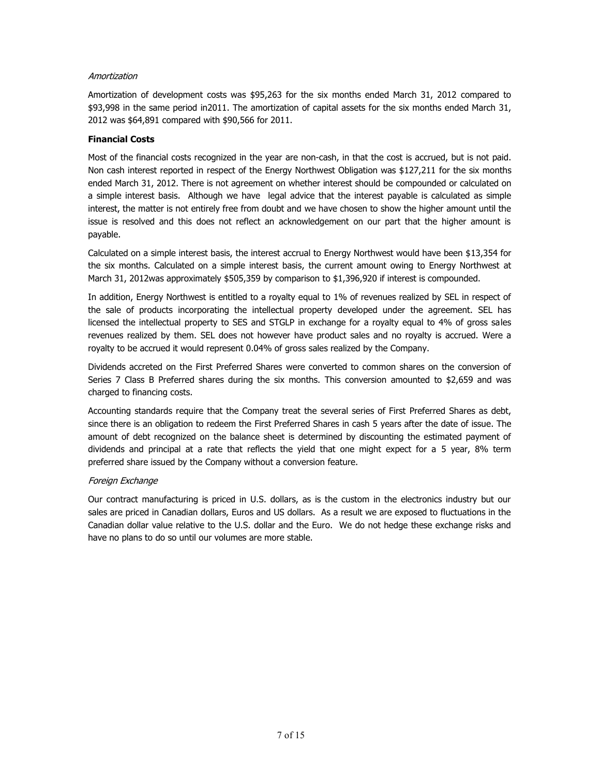# *Amortization*

Amortization of development costs was \$95,263 for the six months ended March 31, 2012 compared to \$93,998 in the same period in2011. The amortization of capital assets for the six months ended March 31, 2012 was \$64,891 compared with \$90,566 for 2011.

# **Financial Costs**

Most of the financial costs recognized in the year are non-cash, in that the cost is accrued, but is not paid. Non cash interest reported in respect of the Energy Northwest Obligation was \$127,211 for the six months ended March 31, 2012. There is not agreement on whether interest should be compounded or calculated on a simple interest basis. Although we have legal advice that the interest payable is calculated as simple interest, the matter is not entirely free from doubt and we have chosen to show the higher amount until the issue is resolved and this does not reflect an acknowledgement on our part that the higher amount is payable.

Calculated on a simple interest basis, the interest accrual to Energy Northwest would have been \$13,354 for the six months. Calculated on a simple interest basis, the current amount owing to Energy Northwest at March 31, 2012was approximately \$505,359 by comparison to \$1,396,920 if interest is compounded.

In addition, Energy Northwest is entitled to a royalty equal to 1% of revenues realized by SEL in respect of the sale of products incorporating the intellectual property developed under the agreement. SEL has licensed the intellectual property to SES and STGLP in exchange for a royalty equal to 4% of gross sales revenues realized by them. SEL does not however have product sales and no royalty is accrued. Were a royalty to be accrued it would represent 0.04% of gross sales realized by the Company.

Dividends accreted on the First Preferred Shares were converted to common shares on the conversion of Series 7 Class B Preferred shares during the six months. This conversion amounted to \$2,659 and was charged to financing costs.

Accounting standards require that the Company treat the several series of First Preferred Shares as debt, since there is an obligation to redeem the First Preferred Shares in cash 5 years after the date of issue. The amount of debt recognized on the balance sheet is determined by discounting the estimated payment of dividends and principal at a rate that reflects the yield that one might expect for a 5 year, 8% term preferred share issued by the Company without a conversion feature.

# *Foreign Exchange*

Our contract manufacturing is priced in U.S. dollars, as is the custom in the electronics industry but our sales are priced in Canadian dollars, Euros and US dollars. As a result we are exposed to fluctuations in the Canadian dollar value relative to the U.S. dollar and the Euro. We do not hedge these exchange risks and have no plans to do so until our volumes are more stable.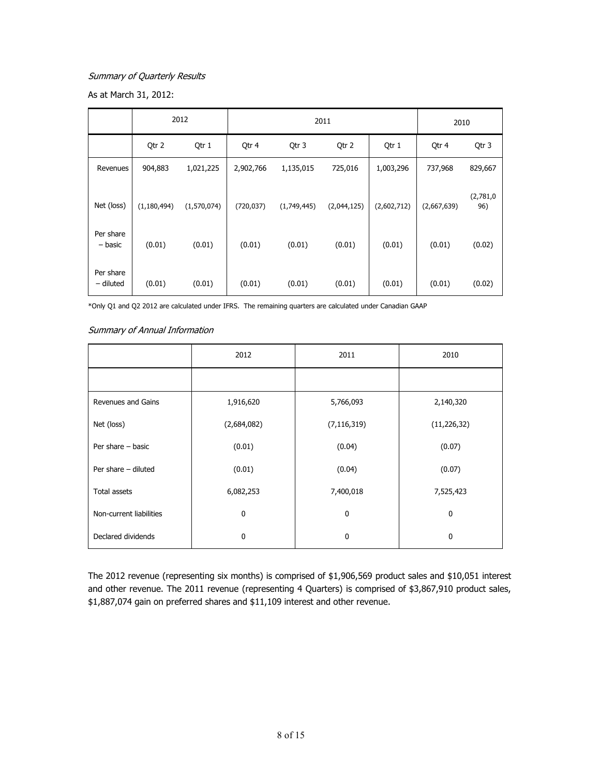# *Summary of Quarterly Results*

As at March 31, 2012:

|                        |               | 2012        | 2011       |             |             | 2010        |             |                  |
|------------------------|---------------|-------------|------------|-------------|-------------|-------------|-------------|------------------|
|                        | Qtr 2         | Qtr 1       | Qtr 4      | Qtr 3       | Qtr 2       | Qtr 1       | Qtr 4       | Qtr 3            |
| Revenues               | 904,883       | 1,021,225   | 2,902,766  | 1,135,015   | 725,016     | 1,003,296   | 737,968     | 829,667          |
| Net (loss)             | (1, 180, 494) | (1,570,074) | (720, 037) | (1,749,445) | (2,044,125) | (2,602,712) | (2,667,639) | (2,781,0)<br>96) |
| Per share<br>– basic   | (0.01)        | (0.01)      | (0.01)     | (0.01)      | (0.01)      | (0.01)      | (0.01)      | (0.02)           |
| Per share<br>- diluted | (0.01)        | (0.01)      | (0.01)     | (0.01)      | (0.01)      | (0.01)      | (0.01)      | (0.02)           |

\*Only Q1 and Q2 2012 are calculated under IFRS. The remaining quarters are calculated under Canadian GAAP

## *Summary of Annual Information*

|                         | 2012         | 2011          | 2010          |
|-------------------------|--------------|---------------|---------------|
|                         |              |               |               |
| Revenues and Gains      | 1,916,620    | 5,766,093     | 2,140,320     |
| Net (loss)              | (2,684,082)  | (7, 116, 319) | (11, 226, 32) |
| Per share $-$ basic     | (0.01)       | (0.04)        | (0.07)        |
| Per share - diluted     | (0.01)       | (0.04)        | (0.07)        |
| <b>Total assets</b>     | 6,082,253    | 7,400,018     | 7,525,423     |
| Non-current liabilities | $\mathbf{0}$ | 0             | $\mathbf 0$   |
| Declared dividends      | 0            | 0             | $\mathbf{0}$  |

The 2012 revenue (representing six months) is comprised of \$1,906,569 product sales and \$10,051 interest and other revenue. The 2011 revenue (representing 4 Quarters) is comprised of \$3,867,910 product sales, \$1,887,074 gain on preferred shares and \$11,109 interest and other revenue.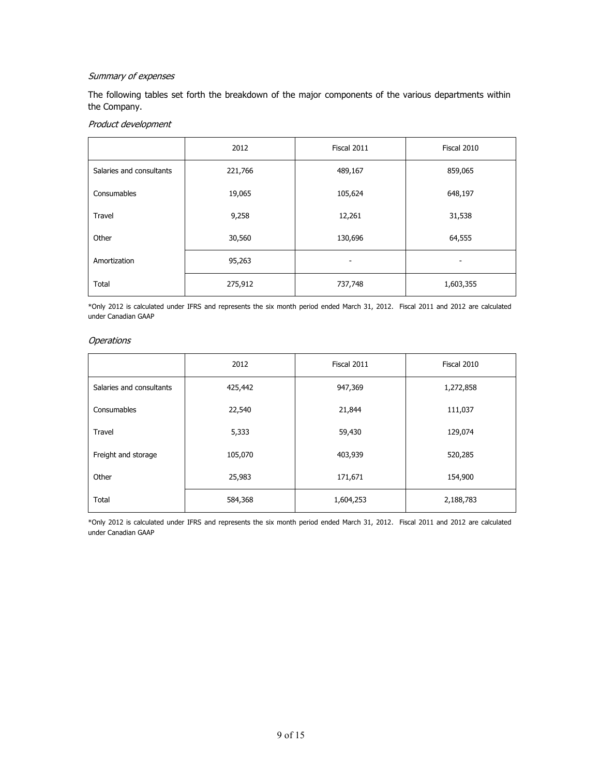# *Summary of expenses*

The following tables set forth the breakdown of the major components of the various departments within the Company.

# *Product development*

|                          | 2012    | Fiscal 2011 | Fiscal 2010 |
|--------------------------|---------|-------------|-------------|
| Salaries and consultants | 221,766 | 489,167     | 859,065     |
| Consumables              | 19,065  | 105,624     | 648,197     |
| Travel                   | 9,258   | 12,261      | 31,538      |
| Other                    | 30,560  | 130,696     | 64,555      |
| Amortization             | 95,263  |             |             |
| Total                    | 275,912 | 737,748     | 1,603,355   |

\*Only 2012 is calculated under IFRS and represents the six month period ended March 31, 2012. Fiscal 2011 and 2012 are calculated under Canadian GAAP

# *Operations*

|                          | 2012    | Fiscal 2011 | Fiscal 2010 |
|--------------------------|---------|-------------|-------------|
| Salaries and consultants | 425,442 | 947,369     | 1,272,858   |
| Consumables              | 22,540  | 21,844      | 111,037     |
| Travel                   | 5,333   | 59,430      | 129,074     |
| Freight and storage      | 105,070 | 403,939     | 520,285     |
| Other                    | 25,983  | 171,671     | 154,900     |
| Total                    | 584,368 | 1,604,253   | 2,188,783   |

\*Only 2012 is calculated under IFRS and represents the six month period ended March 31, 2012. Fiscal 2011 and 2012 are calculated under Canadian GAAP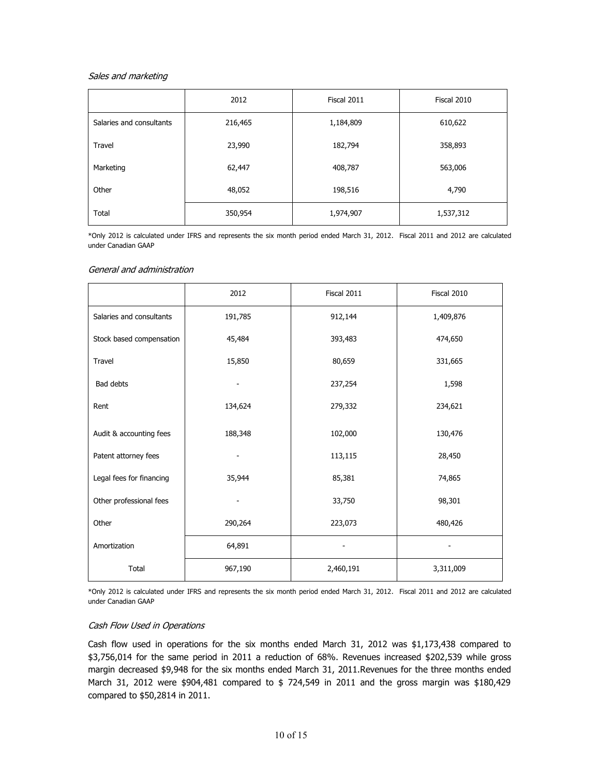#### *Sales and marketing*

|                          | 2012    | Fiscal 2011 | Fiscal 2010 |
|--------------------------|---------|-------------|-------------|
| Salaries and consultants | 216,465 | 1,184,809   | 610,622     |
| Travel                   | 23,990  | 182,794     | 358,893     |
| Marketing                | 62,447  | 408,787     | 563,006     |
| Other                    | 48,052  | 198,516     | 4,790       |
| Total                    | 350,954 | 1,974,907   | 1,537,312   |

\*Only 2012 is calculated under IFRS and represents the six month period ended March 31, 2012. Fiscal 2011 and 2012 are calculated under Canadian GAAP

#### *General and administration*

|                          | 2012    | Fiscal 2011 | Fiscal 2010 |
|--------------------------|---------|-------------|-------------|
| Salaries and consultants | 191,785 | 912,144     | 1,409,876   |
| Stock based compensation | 45,484  | 393,483     | 474,650     |
| Travel                   | 15,850  | 80,659      | 331,665     |
| Bad debts                |         | 237,254     | 1,598       |
| Rent                     | 134,624 | 279,332     | 234,621     |
| Audit & accounting fees  | 188,348 | 102,000     | 130,476     |
| Patent attorney fees     |         | 113,115     | 28,450      |
| Legal fees for financing | 35,944  | 85,381      | 74,865      |
| Other professional fees  |         | 33,750      | 98,301      |
| Other                    | 290,264 | 223,073     | 480,426     |
| Amortization             | 64,891  |             |             |
| Total                    | 967,190 | 2,460,191   | 3,311,009   |

\*Only 2012 is calculated under IFRS and represents the six month period ended March 31, 2012. Fiscal 2011 and 2012 are calculated under Canadian GAAP

# *Cash Flow Used in Operations*

Cash flow used in operations for the six months ended March 31, 2012 was \$1,173,438 compared to \$3,756,014 for the same period in 2011 a reduction of 68%. Revenues increased \$202,539 while gross margin decreased \$9,948 for the six months ended March 31, 2011.Revenues for the three months ended March 31, 2012 were \$904,481 compared to \$ 724,549 in 2011 and the gross margin was \$180,429 compared to \$50,2814 in 2011.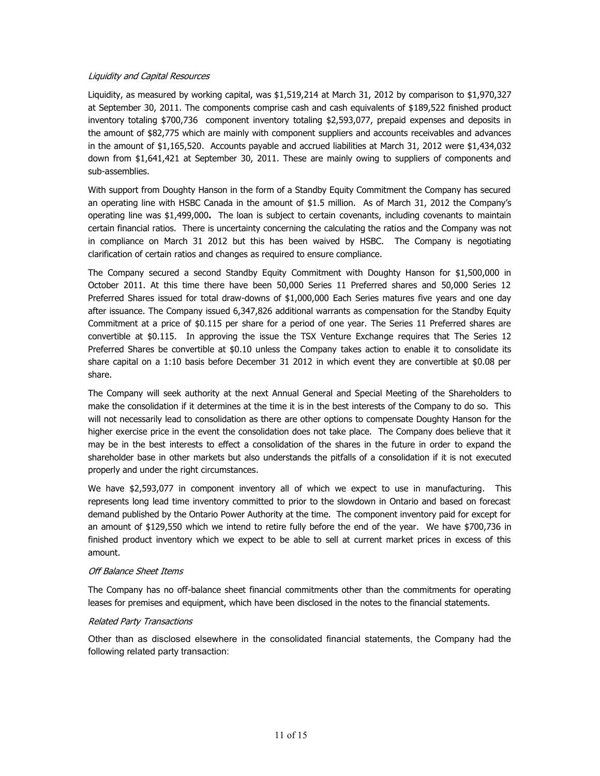## *Liquidity and Capital Resources*

Liquidity, as measured by working capital, was \$1,519,214 at March 31, 2012 by comparison to \$1,970,327 at September 30, 2011. The components comprise cash and cash equivalents of \$189,522 finished product inventory totaling \$700,736 component inventory totaling \$2,593,077, prepaid expenses and deposits in the amount of \$82,775 which are mainly with component suppliers and accounts receivables and advances in the amount of \$1,165,520. Accounts payable and accrued liabilities at March 31, 2012 were \$1,434,032 down from \$1,641,421 at September 30, 2011. These are mainly owing to suppliers of components and sub-assemblies.

With support from Doughty Hanson in the form of a Standby Equity Commitment the Company has secured an operating line with HSBC Canada in the amount of \$1.5 million. As of March 31, 2012 the Company's operating line was \$1,499,000**.** The loan is subject to certain covenants, including covenants to maintain certain financial ratios. There is uncertainty concerning the calculating the ratios and the Company was not in compliance on March 31 2012 but this has been waived by HSBC. The Company is negotiating clarification of certain ratios and changes as required to ensure compliance.

The Company secured a second Standby Equity Commitment with Doughty Hanson for \$1,500,000 in October 2011. At this time there have been 50,000 Series 11 Preferred shares and 50,000 Series 12 Preferred Shares issued for total draw-downs of \$1,000,000 Each Series matures five years and one day after issuance. The Company issued 6,347,826 additional warrants as compensation for the Standby Equity Commitment at a price of \$0.115 per share for a period of one year. The Series 11 Preferred shares are convertible at \$0.115. In approving the issue the TSX Venture Exchange requires that The Series 12 Preferred Shares be convertible at \$0.10 unless the Company takes action to enable it to consolidate its share capital on a 1:10 basis before December 31 2012 in which event they are convertible at \$0.08 per share.

The Company will seek authority at the next Annual General and Special Meeting of the Shareholders to make the consolidation if it determines at the time it is in the best interests of the Company to do so. This will not necessarily lead to consolidation as there are other options to compensate Doughty Hanson for the higher exercise price in the event the consolidation does not take place. The Company does believe that it may be in the best interests to effect a consolidation of the shares in the future in order to expand the shareholder base in other markets but also understands the pitfalls of a consolidation if it is not executed properly and under the right circumstances.

We have \$2,593,077 in component inventory all of which we expect to use in manufacturing. This represents long lead time inventory committed to prior to the slowdown in Ontario and based on forecast demand published by the Ontario Power Authority at the time. The component inventory paid for except for an amount of \$129,550 which we intend to retire fully before the end of the year. We have \$700,736 in finished product inventory which we expect to be able to sell at current market prices in excess of this amount.

# *Off Balance Sheet Items*

The Company has no off-balance sheet financial commitments other than the commitments for operating leases for premises and equipment, which have been disclosed in the notes to the financial statements.

#### *Related Party Transactions*

Other than as disclosed elsewhere in the consolidated financial statements, the Company had the following related party transaction: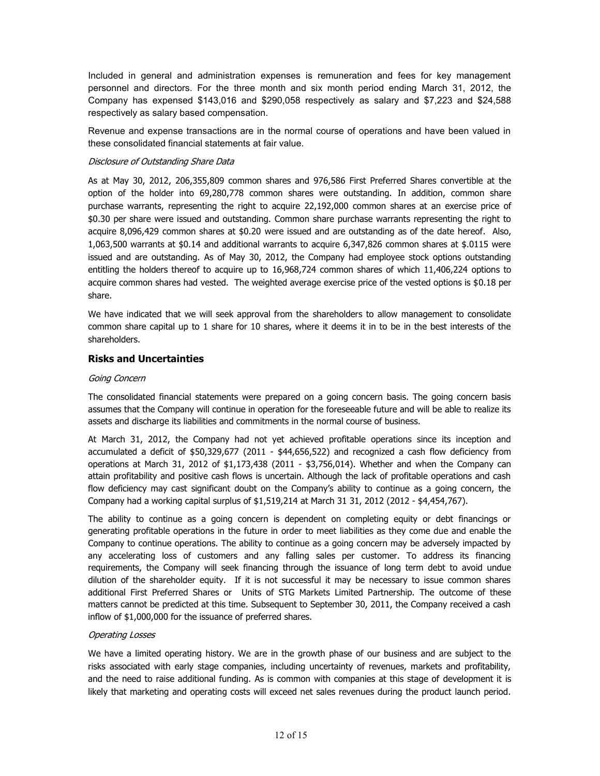Included in general and administration expenses is remuneration and fees for key management personnel and directors. For the three month and six month period ending March 31, 2012, the Company has expensed \$143,016 and \$290,058 respectively as salary and \$7,223 and \$24,588 respectively as salary based compensation.

Revenue and expense transactions are in the normal course of operations and have been valued in these consolidated financial statements at fair value.

## *Disclosure of Outstanding Share Data*

As at May 30, 2012, 206,355,809 common shares and 976,586 First Preferred Shares convertible at the option of the holder into 69,280,778 common shares were outstanding. In addition, common share purchase warrants, representing the right to acquire 22,192,000 common shares at an exercise price of \$0.30 per share were issued and outstanding. Common share purchase warrants representing the right to acquire 8,096,429 common shares at \$0.20 were issued and are outstanding as of the date hereof. Also, 1,063,500 warrants at \$0.14 and additional warrants to acquire 6,347,826 common shares at \$.0115 were issued and are outstanding. As of May 30, 2012, the Company had employee stock options outstanding entitling the holders thereof to acquire up to 16,968,724 common shares of which 11,406,224 options to acquire common shares had vested. The weighted average exercise price of the vested options is \$0.18 per share.

We have indicated that we will seek approval from the shareholders to allow management to consolidate common share capital up to 1 share for 10 shares, where it deems it in to be in the best interests of the shareholders.

# **Risks and Uncertainties**

## *Going Concern*

The consolidated financial statements were prepared on a going concern basis. The going concern basis assumes that the Company will continue in operation for the foreseeable future and will be able to realize its assets and discharge its liabilities and commitments in the normal course of business.

At March 31, 2012, the Company had not yet achieved profitable operations since its inception and accumulated a deficit of \$50,329,677 (2011 - \$44,656,522) and recognized a cash flow deficiency from operations at March 31, 2012 of \$1,173,438 (2011 - \$3,756,014). Whether and when the Company can attain profitability and positive cash flows is uncertain. Although the lack of profitable operations and cash flow deficiency may cast significant doubt on the Company's ability to continue as a going concern, the Company had a working capital surplus of \$1,519,214 at March 31 31, 2012 (2012 - \$4,454,767).

The ability to continue as a going concern is dependent on completing equity or debt financings or generating profitable operations in the future in order to meet liabilities as they come due and enable the Company to continue operations. The ability to continue as a going concern may be adversely impacted by any accelerating loss of customers and any falling sales per customer. To address its financing requirements, the Company will seek financing through the issuance of long term debt to avoid undue dilution of the shareholder equity. If it is not successful it may be necessary to issue common shares additional First Preferred Shares or Units of STG Markets Limited Partnership. The outcome of these matters cannot be predicted at this time. Subsequent to September 30, 2011, the Company received a cash inflow of \$1,000,000 for the issuance of preferred shares.

#### *Operating Losses*

We have a limited operating history. We are in the growth phase of our business and are subject to the risks associated with early stage companies, including uncertainty of revenues, markets and profitability, and the need to raise additional funding. As is common with companies at this stage of development it is likely that marketing and operating costs will exceed net sales revenues during the product launch period.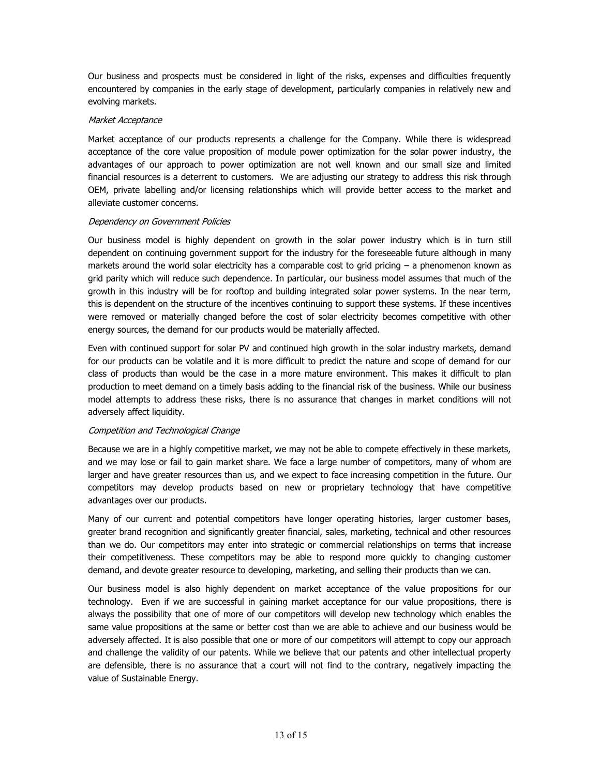Our business and prospects must be considered in light of the risks, expenses and difficulties frequently encountered by companies in the early stage of development, particularly companies in relatively new and evolving markets.

## *Market Acceptance*

Market acceptance of our products represents a challenge for the Company. While there is widespread acceptance of the core value proposition of module power optimization for the solar power industry, the advantages of our approach to power optimization are not well known and our small size and limited financial resources is a deterrent to customers. We are adjusting our strategy to address this risk through OEM, private labelling and/or licensing relationships which will provide better access to the market and alleviate customer concerns.

## *Dependency on Government Policies*

Our business model is highly dependent on growth in the solar power industry which is in turn still dependent on continuing government support for the industry for the foreseeable future although in many markets around the world solar electricity has a comparable cost to grid pricing – a phenomenon known as grid parity which will reduce such dependence. In particular, our business model assumes that much of the growth in this industry will be for rooftop and building integrated solar power systems. In the near term, this is dependent on the structure of the incentives continuing to support these systems. If these incentives were removed or materially changed before the cost of solar electricity becomes competitive with other energy sources, the demand for our products would be materially affected.

Even with continued support for solar PV and continued high growth in the solar industry markets, demand for our products can be volatile and it is more difficult to predict the nature and scope of demand for our class of products than would be the case in a more mature environment. This makes it difficult to plan production to meet demand on a timely basis adding to the financial risk of the business. While our business model attempts to address these risks, there is no assurance that changes in market conditions will not adversely affect liquidity.

# *Competition and Technological Change*

Because we are in a highly competitive market, we may not be able to compete effectively in these markets, and we may lose or fail to gain market share. We face a large number of competitors, many of whom are larger and have greater resources than us, and we expect to face increasing competition in the future. Our competitors may develop products based on new or proprietary technology that have competitive advantages over our products.

Many of our current and potential competitors have longer operating histories, larger customer bases, greater brand recognition and significantly greater financial, sales, marketing, technical and other resources than we do. Our competitors may enter into strategic or commercial relationships on terms that increase their competitiveness. These competitors may be able to respond more quickly to changing customer demand, and devote greater resource to developing, marketing, and selling their products than we can.

Our business model is also highly dependent on market acceptance of the value propositions for our technology. Even if we are successful in gaining market acceptance for our value propositions, there is always the possibility that one of more of our competitors will develop new technology which enables the same value propositions at the same or better cost than we are able to achieve and our business would be adversely affected. It is also possible that one or more of our competitors will attempt to copy our approach and challenge the validity of our patents. While we believe that our patents and other intellectual property are defensible, there is no assurance that a court will not find to the contrary, negatively impacting the value of Sustainable Energy.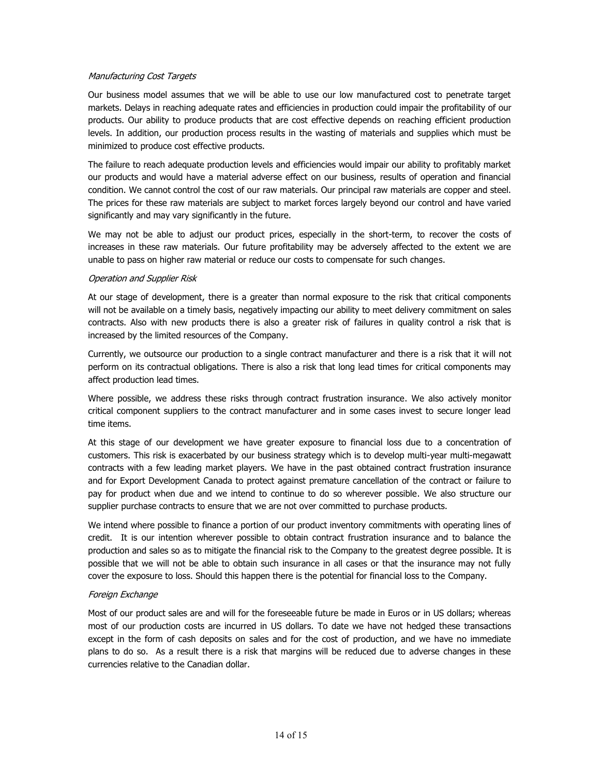## *Manufacturing Cost Targets*

Our business model assumes that we will be able to use our low manufactured cost to penetrate target markets. Delays in reaching adequate rates and efficiencies in production could impair the profitability of our products. Our ability to produce products that are cost effective depends on reaching efficient production levels. In addition, our production process results in the wasting of materials and supplies which must be minimized to produce cost effective products.

The failure to reach adequate production levels and efficiencies would impair our ability to profitably market our products and would have a material adverse effect on our business, results of operation and financial condition. We cannot control the cost of our raw materials. Our principal raw materials are copper and steel. The prices for these raw materials are subject to market forces largely beyond our control and have varied significantly and may vary significantly in the future.

We may not be able to adjust our product prices, especially in the short-term, to recover the costs of increases in these raw materials. Our future profitability may be adversely affected to the extent we are unable to pass on higher raw material or reduce our costs to compensate for such changes.

## *Operation and Supplier Risk*

At our stage of development, there is a greater than normal exposure to the risk that critical components will not be available on a timely basis, negatively impacting our ability to meet delivery commitment on sales contracts. Also with new products there is also a greater risk of failures in quality control a risk that is increased by the limited resources of the Company.

Currently, we outsource our production to a single contract manufacturer and there is a risk that it will not perform on its contractual obligations. There is also a risk that long lead times for critical components may affect production lead times.

Where possible, we address these risks through contract frustration insurance. We also actively monitor critical component suppliers to the contract manufacturer and in some cases invest to secure longer lead time items.

At this stage of our development we have greater exposure to financial loss due to a concentration of customers. This risk is exacerbated by our business strategy which is to develop multi-year multi-megawatt contracts with a few leading market players. We have in the past obtained contract frustration insurance and for Export Development Canada to protect against premature cancellation of the contract or failure to pay for product when due and we intend to continue to do so wherever possible. We also structure our supplier purchase contracts to ensure that we are not over committed to purchase products.

We intend where possible to finance a portion of our product inventory commitments with operating lines of credit. It is our intention wherever possible to obtain contract frustration insurance and to balance the production and sales so as to mitigate the financial risk to the Company to the greatest degree possible. It is possible that we will not be able to obtain such insurance in all cases or that the insurance may not fully cover the exposure to loss. Should this happen there is the potential for financial loss to the Company.

# *Foreign Exchange*

Most of our product sales are and will for the foreseeable future be made in Euros or in US dollars; whereas most of our production costs are incurred in US dollars. To date we have not hedged these transactions except in the form of cash deposits on sales and for the cost of production, and we have no immediate plans to do so. As a result there is a risk that margins will be reduced due to adverse changes in these currencies relative to the Canadian dollar.